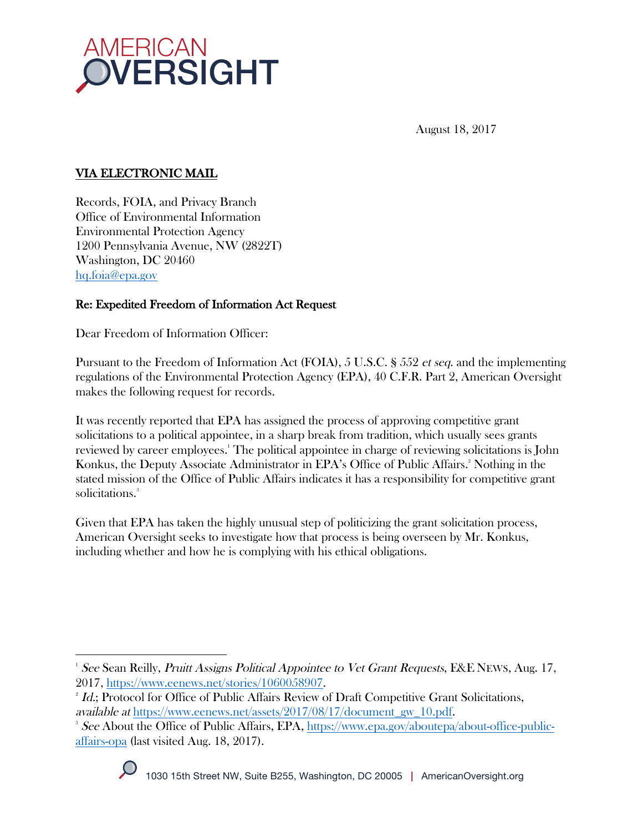

August 18, 2017

# VIA ELECTRONIC MAIL

Records, FOIA, and Privacy Branch Office of Environmental Information Environmental Protection Agency 1200 Pennsylvania Avenue, NW (2822T) Washington, DC 20460 hq.foia@epa.gov

# Re: Expedited Freedom of Information Act Request

Dear Freedom of Information Officer:

Pursuant to the Freedom of Information Act (FOIA), 5 U.S.C. § 552 et seq. and the implementing regulations of the Environmental Protection Agency (EPA), 40 C.F.R. Part 2, American Oversight makes the following request for records.

It was recently reported that EPA has assigned the process of approving competitive grant solicitations to a political appointee, in a sharp break from tradition, which usually sees grants reviewed by career employees. The political appointee in charge of reviewing solicitations is John Konkus, the Deputy Associate Administrator in EPA's Office of Public Affairs.<sup>2</sup> Nothing in the stated mission of the Office of Public Affairs indicates it has a responsibility for competitive grant solicitations.<sup>3</sup>

Given that EPA has taken the highly unusual step of politicizing the grant solicitation process, American Oversight seeks to investigate how that process is being overseen by Mr. Konkus, including whether and how he is complying with his ethical obligations.

<sup>&</sup>lt;sup>3</sup> See About the Office of Public Affairs, EPA, https://www.epa.gov/aboutepa/about-office-publicaffairs-opa (last visited Aug. 18, 2017).



 $1$  See Sean Reilly, Pruitt Assigns Political Appointee to Vet Grant Requests, E&E NEWS, Aug. 17, 2017, https://www.eenews.net/stories/1060058907. 2

<sup>&</sup>lt;sup>2</sup> Id.; Protocol for Office of Public Affairs Review of Draft Competitive Grant Solicitations, available at https://www.eenews.net/assets/2017/08/17/document\_gw\_10.pdf.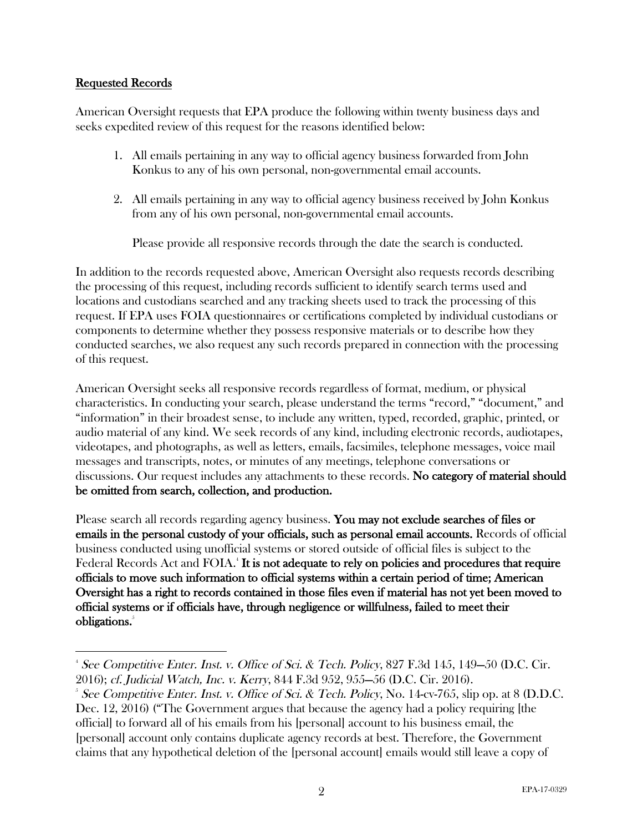### Requested Records

 

American Oversight requests that EPA produce the following within twenty business days and seeks expedited review of this request for the reasons identified below:

- 1. All emails pertaining in any way to official agency business forwarded from John Konkus to any of his own personal, non-governmental email accounts.
- 2. All emails pertaining in any way to official agency business received by John Konkus from any of his own personal, non-governmental email accounts.

Please provide all responsive records through the date the search is conducted.

In addition to the records requested above, American Oversight also requests records describing the processing of this request, including records sufficient to identify search terms used and locations and custodians searched and any tracking sheets used to track the processing of this request. If EPA uses FOIA questionnaires or certifications completed by individual custodians or components to determine whether they possess responsive materials or to describe how they conducted searches, we also request any such records prepared in connection with the processing of this request.

American Oversight seeks all responsive records regardless of format, medium, or physical characteristics. In conducting your search, please understand the terms "record," "document," and "information" in their broadest sense, to include any written, typed, recorded, graphic, printed, or audio material of any kind. We seek records of any kind, including electronic records, audiotapes, videotapes, and photographs, as well as letters, emails, facsimiles, telephone messages, voice mail messages and transcripts, notes, or minutes of any meetings, telephone conversations or discussions. Our request includes any attachments to these records. No category of material should be omitted from search, collection, and production.

Please search all records regarding agency business. You may not exclude searches of files or emails in the personal custody of your officials, such as personal email accounts. Records of official business conducted using unofficial systems or stored outside of official files is subject to the Federal Records Act and FOIA.<sup>4</sup> It is not adequate to rely on policies and procedures that require officials to move such information to official systems within a certain period of time; American Oversight has a right to records contained in those files even if material has not yet been moved to official systems or if officials have, through negligence or willfulness, failed to meet their obligations.<sup>5</sup>

<sup>4</sup> See Competitive Enter. Inst. v. Office of Sci. & Tech. Policy, 827 F.3d 145, 149—50 (D.C. Cir. 2016); cf. Judicial Watch, Inc. v. Kerry, 844 F.3d 952, 955—56 (D.C. Cir. 2016). 5

<sup>&</sup>lt;sup>5</sup> See Competitive Enter. Inst. v. Office of Sci. & Tech. Policy, No. 14-cv-765, slip op. at 8 (D.D.C. Dec. 12, 2016) ("The Government argues that because the agency had a policy requiring [the official] to forward all of his emails from his [personal] account to his business email, the [personal] account only contains duplicate agency records at best. Therefore, the Government claims that any hypothetical deletion of the [personal account] emails would still leave a copy of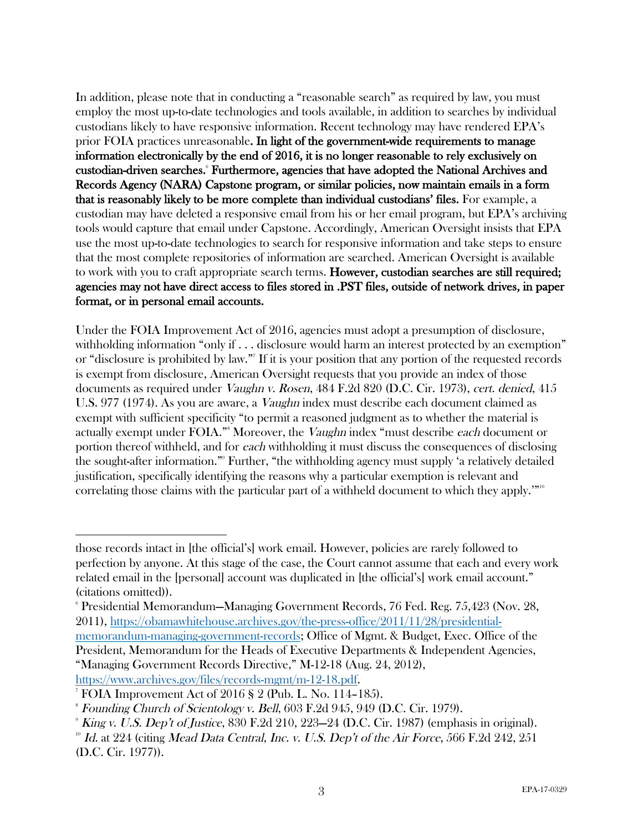In addition, please note that in conducting a "reasonable search" as required by law, you must employ the most up-to-date technologies and tools available, in addition to searches by individual custodians likely to have responsive information. Recent technology may have rendered EPA's prior FOIA practices unreasonable. In light of the government-wide requirements to manage information electronically by the end of 2016, it is no longer reasonable to rely exclusively on custodian-driven searches. Furthermore, agencies that have adopted the National Archives and Records Agency (NARA) Capstone program, or similar policies, now maintain emails in a form that is reasonably likely to be more complete than individual custodians' files. For example, a custodian may have deleted a responsive email from his or her email program, but EPA's archiving tools would capture that email under Capstone. Accordingly, American Oversight insists that EPA use the most up-to-date technologies to search for responsive information and take steps to ensure that the most complete repositories of information are searched. American Oversight is available to work with you to craft appropriate search terms. However, custodian searches are still required; agencies may not have direct access to files stored in .PST files, outside of network drives, in paper format, or in personal email accounts.

Under the FOIA Improvement Act of 2016, agencies must adopt a presumption of disclosure, withholding information "only if . . . disclosure would harm an interest protected by an exemption" or "disclosure is prohibited by law."7 If it is your position that any portion of the requested records is exempt from disclosure, American Oversight requests that you provide an index of those documents as required under Vaughn v. Rosen, 484 F.2d 820 (D.C. Cir. 1973), cert. denied, 415 U.S. 977 (1974). As you are aware, a *Vaughn* index must describe each document claimed as exempt with sufficient specificity "to permit a reasoned judgment as to whether the material is actually exempt under FOIA."<sup>8</sup> Moreover, the *Vaughn* index "must describe *each* document or portion thereof withheld, and for each withholding it must discuss the consequences of disclosing the sought-after information."9 Further, "the withholding agency must supply 'a relatively detailed justification, specifically identifying the reasons why a particular exemption is relevant and correlating those claims with the particular part of a withheld document to which they apply.'"<sup>10</sup>

those records intact in [the official's] work email. However, policies are rarely followed to perfection by anyone. At this stage of the case, the Court cannot assume that each and every work related email in the [personal] account was duplicated in [the official's] work email account." (citations omitted)).

<sup>6</sup> Presidential Memorandum—Managing Government Records, 76 Fed. Reg. 75,423 (Nov. 28, 2011), https://obamawhitehouse.archives.gov/the-press-office/2011/11/28/presidentialmemorandum-managing-government-records; Office of Mgmt. & Budget, Exec. Office of the President, Memorandum for the Heads of Executive Departments & Independent Agencies,

<sup>&</sup>quot;Managing Government Records Directive," M-12-18 (Aug. 24, 2012),

https://www.archives.gov/files/records-mgmt/m-12-18.pdf.

<sup>&</sup>lt;sup>7</sup> FOIA Improvement Act of  $2016 \text{ }$  \$ 2 (Pub. L. No. 114–185).

<sup>8</sup> Founding Church of Scientology v. Bell, 603 F.2d 945, 949 (D.C. Cir. 1979).

 $^{\circ}$  King v. U.S. Dep't of Justice, 830 F.2d 210, 223–24 (D.C. Cir. 1987) (emphasis in original).

 $^{10}$  Id. at 224 (citing Mead Data Central, Inc. v. U.S. Dep't of the Air Force, 566 F.2d 242, 251 (D.C. Cir. 1977)).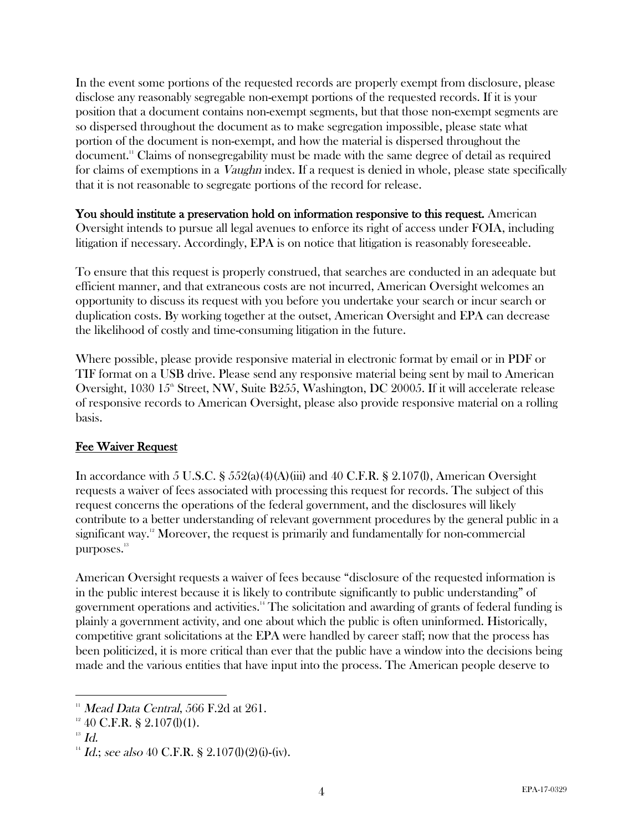In the event some portions of the requested records are properly exempt from disclosure, please disclose any reasonably segregable non-exempt portions of the requested records. If it is your position that a document contains non-exempt segments, but that those non-exempt segments are so dispersed throughout the document as to make segregation impossible, please state what portion of the document is non-exempt, and how the material is dispersed throughout the document.11 Claims of nonsegregability must be made with the same degree of detail as required for claims of exemptions in a *Vaughn* index. If a request is denied in whole, please state specifically that it is not reasonable to segregate portions of the record for release.

You should institute a preservation hold on information responsive to this request. American Oversight intends to pursue all legal avenues to enforce its right of access under FOIA, including litigation if necessary. Accordingly, EPA is on notice that litigation is reasonably foreseeable.

To ensure that this request is properly construed, that searches are conducted in an adequate but efficient manner, and that extraneous costs are not incurred, American Oversight welcomes an opportunity to discuss its request with you before you undertake your search or incur search or duplication costs. By working together at the outset, American Oversight and EPA can decrease the likelihood of costly and time-consuming litigation in the future.

Where possible, please provide responsive material in electronic format by email or in PDF or TIF format on a USB drive. Please send any responsive material being sent by mail to American Oversight, 1030  $15^{\circ}$  Street, NW, Suite B255, Washington, DC 20005. If it will accelerate release of responsive records to American Oversight, please also provide responsive material on a rolling basis.

## Fee Waiver Request

In accordance with 5 U.S.C. §  $552(a)(4)(A)(iii)$  and 40 C.F.R. § 2.107(l), American Oversight requests a waiver of fees associated with processing this request for records. The subject of this request concerns the operations of the federal government, and the disclosures will likely contribute to a better understanding of relevant government procedures by the general public in a significant way.<sup>12</sup> Moreover, the request is primarily and fundamentally for non-commercial purposes.<sup>13</sup>

American Oversight requests a waiver of fees because "disclosure of the requested information is in the public interest because it is likely to contribute significantly to public understanding" of government operations and activities. <sup>14</sup> The solicitation and awarding of grants of federal funding is plainly a government activity, and one about which the public is often uninformed. Historically, competitive grant solicitations at the EPA were handled by career staff; now that the process has been politicized, it is more critical than ever that the public have a window into the decisions being made and the various entities that have input into the process. The American people deserve to

 $11$  Mead Data Central, 566 F.2d at 261.

 $12$  40 C.F.R. § 2.107(l)(1).

 $13$  Id.

<sup>&</sup>lt;sup>14</sup> Id.; see also 40 C.F.R. § 2.107(l)(2)(i)-(iv).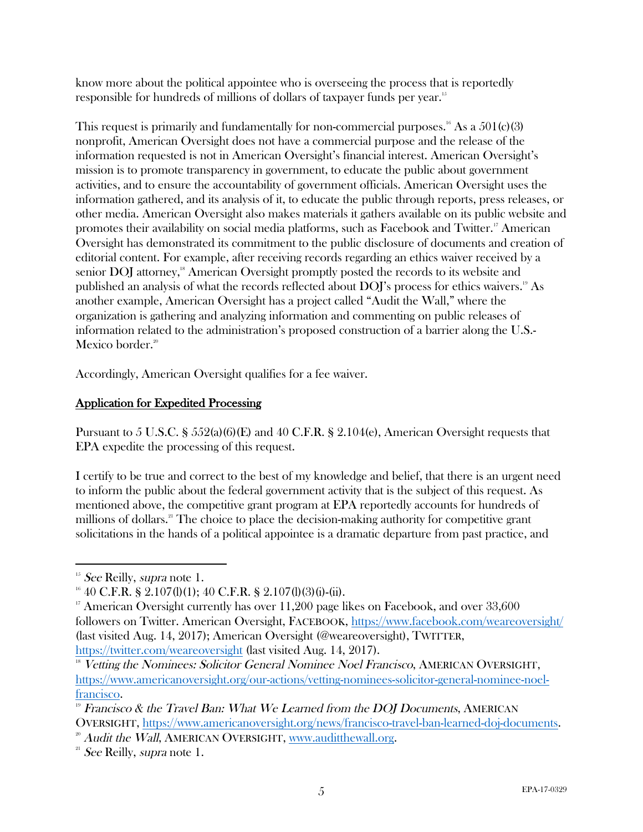know more about the political appointee who is overseeing the process that is reportedly responsible for hundreds of millions of dollars of taxpayer funds per year. 15

This request is primarily and fundamentally for non-commercial purposes.<sup>16</sup> As a  $501(c)(3)$ nonprofit, American Oversight does not have a commercial purpose and the release of the information requested is not in American Oversight's financial interest. American Oversight's mission is to promote transparency in government, to educate the public about government activities, and to ensure the accountability of government officials. American Oversight uses the information gathered, and its analysis of it, to educate the public through reports, press releases, or other media. American Oversight also makes materials it gathers available on its public website and promotes their availability on social media platforms, such as Facebook and Twitter.<sup>17</sup> American Oversight has demonstrated its commitment to the public disclosure of documents and creation of editorial content. For example, after receiving records regarding an ethics waiver received by a senior DOJ attorney,<sup>18</sup> American Oversight promptly posted the records to its website and published an analysis of what the records reflected about DOJ's process for ethics waivers.<sup>19</sup> As another example, American Oversight has a project called "Audit the Wall," where the organization is gathering and analyzing information and commenting on public releases of information related to the administration's proposed construction of a barrier along the U.S.- Mexico border.<sup>20</sup>

Accordingly, American Oversight qualifies for a fee waiver.

# Application for Expedited Processing

Pursuant to 5 U.S.C. § 552(a)(6)(E) and 40 C.F.R. § 2.104(e), American Oversight requests that EPA expedite the processing of this request.

I certify to be true and correct to the best of my knowledge and belief, that there is an urgent need to inform the public about the federal government activity that is the subject of this request. As mentioned above, the competitive grant program at EPA reportedly accounts for hundreds of millions of dollars.<sup>21</sup> The choice to place the decision-making authority for competitive grant solicitations in the hands of a political appointee is a dramatic departure from past practice, and

 $15$  See Reilly, supra note 1.

 $16$  40 C.F.R. § 2.107(l)(1); 40 C.F.R. § 2.107(l)(3)(i)-(ii).

<sup>&</sup>lt;sup>17</sup> American Oversight currently has over  $11,200$  page likes on Facebook, and over  $33,600$ followers on Twitter. American Oversight, FACEBOOK, https://www.facebook.com/weareoversight/ (last visited Aug. 14, 2017); American Oversight (@weareoversight), TWITTER, https://twitter.com/weareoversight (last visited Aug. 14, 2017).

<sup>&</sup>lt;sup>18</sup> Vetting the Nominees: Solicitor General Nominee Noel Francisco, AMERICAN OVERSIGHT, https://www.americanoversight.org/our-actions/vetting-nominees-solicitor-general-nominee-noelfrancisco.<br><sup>19</sup> Francisco & the Travel Ban: What We Learned from the DOJ Documents, AMERICAN

OVERSIGHT, https://www.americanoversight.org/news/francisco-travel-ban-learned-doj-documents.<br><sup>20</sup> Audit the Wall, AMERICAN OVERSIGHT, www.auditthewall.org.

 $21$  See Reilly, supra note 1.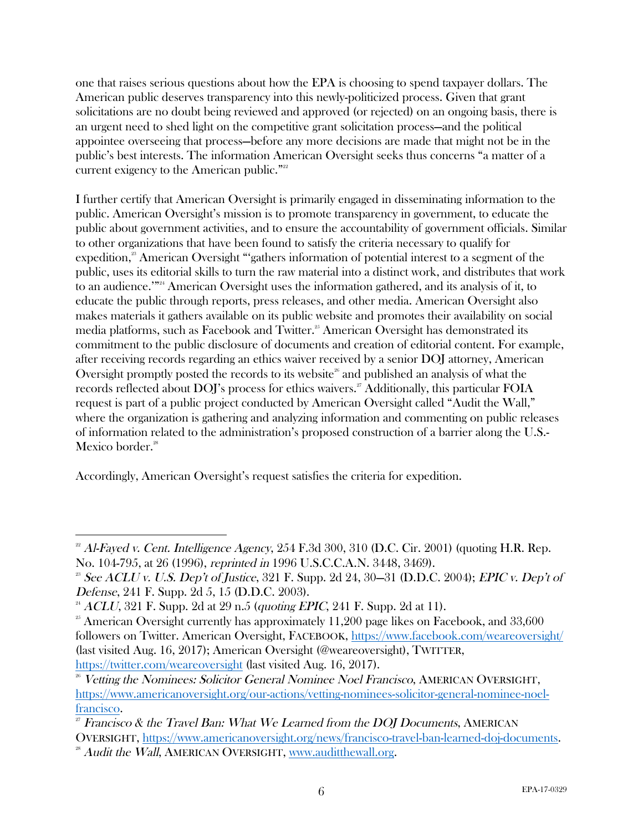one that raises serious questions about how the EPA is choosing to spend taxpayer dollars. The American public deserves transparency into this newly-politicized process. Given that grant solicitations are no doubt being reviewed and approved (or rejected) on an ongoing basis, there is an urgent need to shed light on the competitive grant solicitation process—and the political appointee overseeing that process—before any more decisions are made that might not be in the public's best interests. The information American Oversight seeks thus concerns "a matter of a current exigency to the American public."<sup>22</sup>

I further certify that American Oversight is primarily engaged in disseminating information to the public. American Oversight's mission is to promote transparency in government, to educate the public about government activities, and to ensure the accountability of government officials. Similar to other organizations that have been found to satisfy the criteria necessary to qualify for expedition,<sup>23</sup> American Oversight "'gathers information of potential interest to a segment of the public, uses its editorial skills to turn the raw material into a distinct work, and distributes that work to an audience."<sup>224</sup> American Oversight uses the information gathered, and its analysis of it, to educate the public through reports, press releases, and other media. American Oversight also makes materials it gathers available on its public website and promotes their availability on social media platforms, such as Facebook and Twitter.<sup>25</sup> American Oversight has demonstrated its commitment to the public disclosure of documents and creation of editorial content. For example, after receiving records regarding an ethics waiver received by a senior DOJ attorney, American Oversight promptly posted the records to its website<sup>26</sup> and published an analysis of what the records reflected about DOJ's process for ethics waivers.<sup>27</sup> Additionally, this particular FOIA request is part of a public project conducted by American Oversight called "Audit the Wall," where the organization is gathering and analyzing information and commenting on public releases of information related to the administration's proposed construction of a barrier along the U.S.- Mexico border.<sup>28</sup>

Accordingly, American Oversight's request satisfies the criteria for expedition.

  $^{22}$  Al-Fayed v. Cent. Intelligence Agency, 254 F.3d 300, 310 (D.C. Cir. 2001) (quoting H.R. Rep. No. 104-795, at 26 (1996), reprinted in 1996 U.S.C.C.A.N. 3448, 3469).

<sup>&</sup>lt;sup>23</sup> See ACLU v. U.S. Dep't of Justice, 321 F. Supp. 2d 24, 30–31 (D.D.C. 2004); EPIC v. Dep't of Defense, 241 F. Supp. 2d 5, 15 (D.D.C. 2003).

 $^{24}$  ACLU, 321 F. Supp. 2d at 29 n.5 (quoting EPIC, 241 F. Supp. 2d at 11).

 $25$  American Oversight currently has approximately 11,200 page likes on Facebook, and 33,600 followers on Twitter. American Oversight, FACEBOOK, https://www.facebook.com/weareoversight/ (last visited Aug. 16, 2017); American Oversight (@weareoversight), TWITTER, https://twitter.com/weareoversight (last visited Aug. 16, 2017).

<sup>&</sup>lt;sup>26</sup> Vetting the Nominees: Solicitor General Nominee Noel Francisco, AMERICAN OVERSIGHT, https://www.americanoversight.org/our-actions/vetting-nominees-solicitor-general-nominee-noel- $\frac{\text{francisco}}{^{27}}$  Francisco & the Travel Ban: What We Learned from the DOJ Documents, AMERICAN

OVERSIGHT, https://www.americanoversight.org/news/francisco-travel-ban-learned-doj-documents.

<sup>&</sup>lt;sup>28</sup> Audit the Wall, AMERICAN OVERSIGHT, www.auditthewall.org.